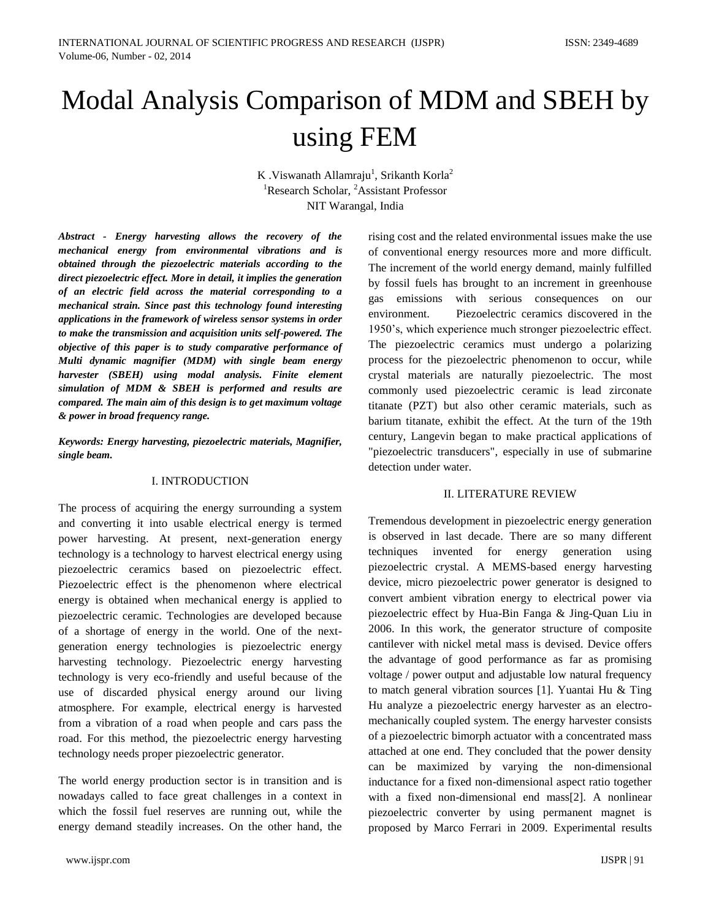# Modal Analysis Comparison of MDM and SBEH by using FEM

K .Viswanath Allamraju<sup>1</sup>, Srikanth Korla<sup>2</sup> <sup>1</sup>Research Scholar, <sup>2</sup>Assistant Professor NIT Warangal, India

*Abstract - Energy harvesting allows the recovery of the mechanical energy from environmental vibrations and is obtained through the piezoelectric materials according to the direct piezoelectric effect. More in detail, it implies the generation of an electric field across the material corresponding to a mechanical strain. Since past this technology found interesting applications in the framework of wireless sensor systems in order to make the transmission and acquisition units self-powered. The objective of this paper is to study comparative performance of Multi dynamic magnifier (MDM) with single beam energy harvester (SBEH) using modal analysis. Finite element simulation of MDM & SBEH is performed and results are compared. The main aim of this design is to get maximum voltage & power in broad frequency range.* 

*Keywords: Energy harvesting, piezoelectric materials, Magnifier, single beam.*

## I. INTRODUCTION

The process of acquiring the energy surrounding a system and converting it into usable electrical energy is termed power harvesting. At present, next-generation energy technology is a technology to harvest electrical energy using piezoelectric ceramics based on piezoelectric effect. Piezoelectric effect is the phenomenon where electrical energy is obtained when mechanical energy is applied to piezoelectric ceramic. Technologies are developed because of a shortage of energy in the world. One of the nextgeneration energy technologies is piezoelectric energy harvesting technology. Piezoelectric energy harvesting technology is very eco-friendly and useful because of the use of discarded physical energy around our living atmosphere. For example, electrical energy is harvested from a vibration of a road when people and cars pass the road. For this method, the piezoelectric energy harvesting technology needs proper piezoelectric generator.

The world energy production sector is in transition and is nowadays called to face great challenges in a context in which the fossil fuel reserves are running out, while the energy demand steadily increases. On the other hand, the

by fossil fuels has brought to an increment in greenhouse gas emissions with serious consequences on our environment. Piezoelectric ceramics discovered in the 1950's, which experience much stronger piezoelectric effect. The piezoelectric ceramics must undergo a polarizing process for the piezoelectric phenomenon to occur, while crystal materials are naturally piezoelectric. The most commonly used piezoelectric ceramic is lead zirconate titanate (PZT) but also other ceramic materials, such as barium titanate, exhibit the effect. At the turn of the 19th century, Langevin began to make practical applications of "piezoelectric transducers", especially in use of submarine detection under water. II. LITERATURE REVIEW

rising cost and the related environmental issues make the use of conventional energy resources more and more difficult. The increment of the world energy demand, mainly fulfilled

Tremendous development in piezoelectric energy generation is observed in last decade. There are so many different techniques invented for energy generation using piezoelectric crystal. A MEMS-based energy harvesting device, micro piezoelectric power generator is designed to convert ambient vibration energy to electrical power via piezoelectric effect by Hua-Bin Fanga & Jing-Quan Liu in 2006. In this work, the generator structure of composite cantilever with nickel metal mass is devised. Device offers the advantage of good performance as far as promising voltage / power output and adjustable low natural frequency to match general vibration sources [1]. Yuantai Hu & Ting Hu analyze a piezoelectric energy harvester as an electromechanically coupled system. The energy harvester consists of a piezoelectric bimorph actuator with a concentrated mass attached at one end. They concluded that the power density can be maximized by varying the non-dimensional inductance for a fixed non-dimensional aspect ratio together with a fixed non-dimensional end mass[2]. A nonlinear piezoelectric converter by using permanent magnet is proposed by Marco Ferrari in 2009. Experimental results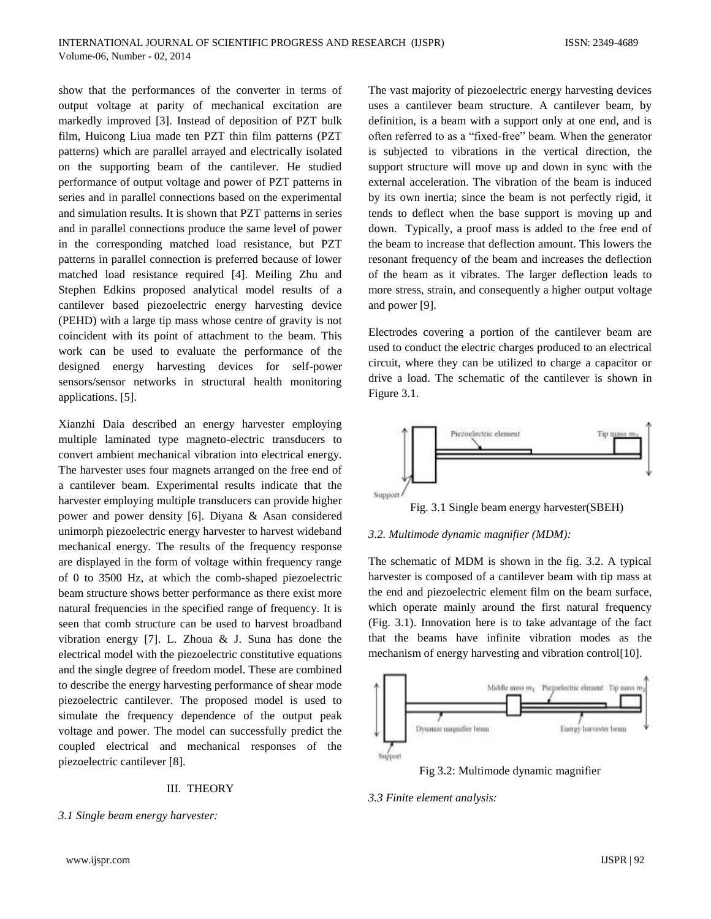show that the performances of the converter in terms of output voltage at parity of mechanical excitation are markedly improved [3]. Instead of deposition of PZT bulk film, Huicong Liua made ten PZT thin film patterns (PZT patterns) which are parallel arrayed and electrically isolated on the supporting beam of the cantilever. He studied performance of output voltage and power of PZT patterns in series and in parallel connections based on the experimental and simulation results. It is shown that PZT patterns in series and in parallel connections produce the same level of power in the corresponding matched load resistance, but PZT patterns in parallel connection is preferred because of lower matched load resistance required [4]. Meiling Zhu and Stephen Edkins proposed analytical model results of a cantilever based piezoelectric energy harvesting device (PEHD) with a large tip mass whose centre of gravity is not coincident with its point of attachment to the beam. This work can be used to evaluate the performance of the designed energy harvesting devices for self-power sensors/sensor networks in structural health monitoring applications. [5].

Xianzhi Daia described an energy harvester employing multiple laminated type magneto-electric transducers to convert ambient mechanical vibration into electrical energy. The harvester uses four magnets arranged on the free end of a cantilever beam. Experimental results indicate that the harvester employing multiple transducers can provide higher power and power density [6]. Diyana & Asan considered unimorph piezoelectric energy harvester to harvest wideband mechanical energy. The results of the frequency response are displayed in the form of voltage within frequency range of 0 to 3500 Hz, at which the comb-shaped piezoelectric beam structure shows better performance as there exist more natural frequencies in the specified range of frequency. It is seen that comb structure can be used to harvest broadband vibration energy [7]. L. Zhoua & J. Suna has done the electrical model with the piezoelectric constitutive equations and the single degree of freedom model. These are combined to describe the energy harvesting performance of shear mode piezoelectric cantilever. The proposed model is used to simulate the frequency dependence of the output peak voltage and power. The model can successfully predict the coupled electrical and mechanical responses of the piezoelectric cantilever [8].

## III. THEORY

*3.1 Single beam energy harvester:*

The vast majority of piezoelectric energy harvesting devices uses a cantilever beam structure. A cantilever beam, by definition, is a beam with a support only at one end, and is often referred to as a "fixed-free" beam. When the generator is subjected to vibrations in the vertical direction, the support structure will move up and down in sync with the external acceleration. The vibration of the beam is induced by its own inertia; since the beam is not perfectly rigid, it tends to deflect when the base support is moving up and down. Typically, a proof mass is added to the free end of the beam to increase that deflection amount. This lowers the resonant frequency of the beam and increases the deflection of the beam as it vibrates. The larger deflection leads to more stress, strain, and consequently a higher output voltage and power [9].

Electrodes covering a portion of the cantilever beam are used to conduct the electric charges produced to an electrical circuit, where they can be utilized to charge a capacitor or drive a load. The schematic of the cantilever is shown in Figure 3.1.



Fig. 3.1 Single beam energy harvester(SBEH)

## *3.2. Multimode dynamic magnifier (MDM):*

The schematic of MDM is shown in the fig. 3.2. A typical harvester is composed of a cantilever beam with tip mass at the end and piezoelectric element film on the beam surface, which operate mainly around the first natural frequency (Fig. 3.1). Innovation here is to take advantage of the fact that the beams have infinite vibration modes as the mechanism of energy harvesting and vibration control[10].



Fig 3.2: Multimode dynamic magnifier

## *3.3 Finite element analysis:*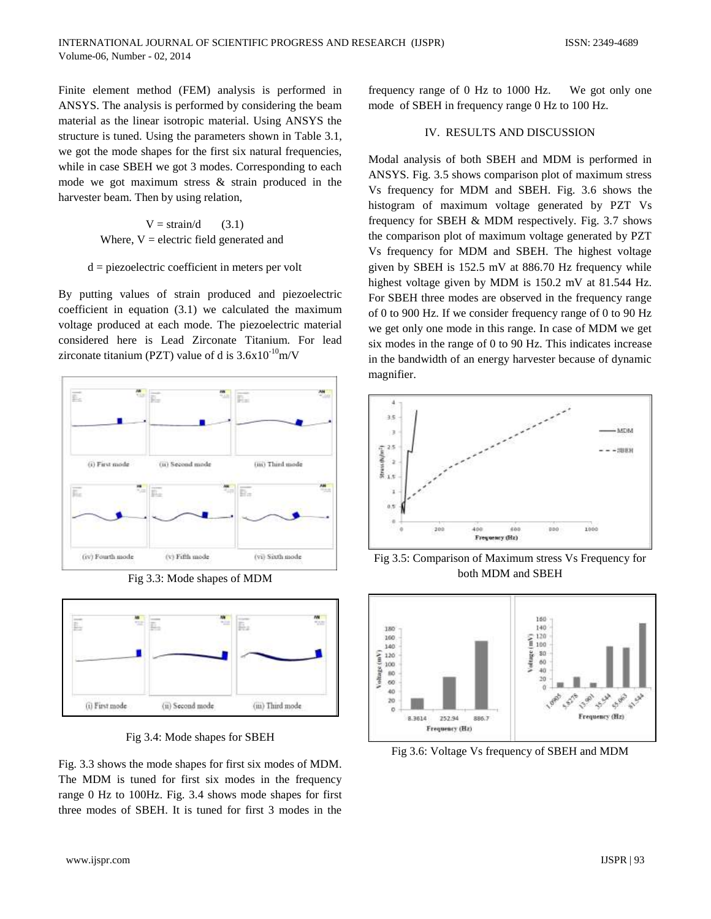Finite element method (FEM) analysis is performed in ANSYS. The analysis is performed by considering the beam material as the linear isotropic material. Using ANSYS the structure is tuned. Using the parameters shown in Table 3.1, we got the mode shapes for the first six natural frequencies, while in case SBEH we got 3 modes. Corresponding to each mode we got maximum stress & strain produced in the harvester beam. Then by using relation,

> $V = \frac{\text{strain}}{d}$  (3.1) Where,  $V =$  electric field generated and

## $d = piezoelectric coefficient in meters per volt$

By putting values of strain produced and piezoelectric coefficient in equation (3.1) we calculated the maximum voltage produced at each mode. The piezoelectric material considered here is Lead Zirconate Titanium. For lead zirconate titanium (PZT) value of d is  $3.6x10^{-10}$ m/V



Fig 3.3: Mode shapes of MDM



Fig 3.4: Mode shapes for SBEH

Fig. 3.3 shows the mode shapes for first six modes of MDM. The MDM is tuned for first six modes in the frequency range 0 Hz to 100Hz. Fig. 3.4 shows mode shapes for first three modes of SBEH. It is tuned for first 3 modes in the

frequency range of 0 Hz to 1000 Hz. We got only one mode of SBEH in frequency range 0 Hz to 100 Hz.

## IV. RESULTS AND DISCUSSION

Modal analysis of both SBEH and MDM is performed in ANSYS. Fig. 3.5 shows comparison plot of maximum stress Vs frequency for MDM and SBEH. Fig. 3.6 shows the histogram of maximum voltage generated by PZT Vs frequency for SBEH & MDM respectively. Fig. 3.7 shows the comparison plot of maximum voltage generated by PZT Vs frequency for MDM and SBEH. The highest voltage given by SBEH is 152.5 mV at 886.70 Hz frequency while highest voltage given by MDM is 150.2 mV at 81.544 Hz. For SBEH three modes are observed in the frequency range of 0 to 900 Hz. If we consider frequency range of 0 to 90 Hz we get only one mode in this range. In case of MDM we get six modes in the range of 0 to 90 Hz. This indicates increase in the bandwidth of an energy harvester because of dynamic magnifier.



Fig 3.5: Comparison of Maximum stress Vs Frequency for both MDM and SBEH



Fig 3.6: Voltage Vs frequency of SBEH and MDM